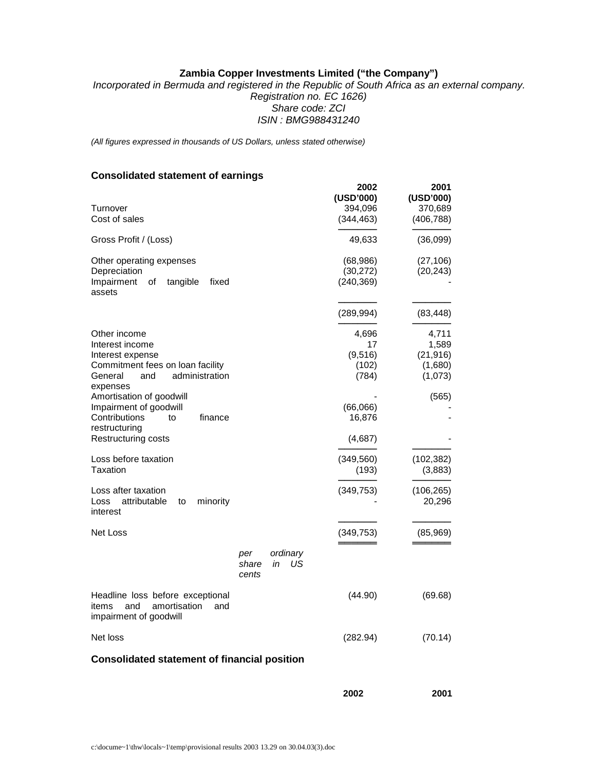# **Zambia Copper Investments Limited ("the Company")**

*Incorporated in Bermuda and registered in the Republic of South Africa as an external company. Registration no. EC 1626) Share code: ZCI ISIN : BMG988431240* 

*(All figures expressed in thousands of US Dollars, unless stated otherwise)*

# **Consolidated statement of earnings**

| Turnover<br>Cost of sales                                                                                                                                                                                                                                                                                                                                                                |                       |                      | 2002<br>(USD'000)<br>394,096<br>(344, 463)                                                                     | 2001<br>(USD'000)<br>370,689<br>(406, 788)                                                                  |
|------------------------------------------------------------------------------------------------------------------------------------------------------------------------------------------------------------------------------------------------------------------------------------------------------------------------------------------------------------------------------------------|-----------------------|----------------------|----------------------------------------------------------------------------------------------------------------|-------------------------------------------------------------------------------------------------------------|
| Gross Profit / (Loss)                                                                                                                                                                                                                                                                                                                                                                    |                       |                      | 49,633                                                                                                         | (36,099)                                                                                                    |
| Other operating expenses<br>Depreciation<br>Impairment<br>tangible<br>fixed<br>οf<br>assets                                                                                                                                                                                                                                                                                              |                       |                      | (68, 986)<br>(30, 272)<br>(240, 369)                                                                           | (27, 106)<br>(20, 243)                                                                                      |
|                                                                                                                                                                                                                                                                                                                                                                                          |                       |                      | (289, 994)                                                                                                     | (83, 448)                                                                                                   |
| Other income<br>Interest income<br>Interest expense<br>Commitment fees on loan facility<br>administration<br>General<br>and<br>expenses<br>Amortisation of goodwill<br>Impairment of goodwill<br>Contributions<br>finance<br>to<br>restructuring<br>Restructuring costs<br>Loss before taxation<br>Taxation<br>Loss after taxation<br>attributable<br>minority<br>Loss<br>to<br>interest |                       |                      | 4,696<br>17<br>(9,516)<br>(102)<br>(784)<br>(66,066)<br>16,876<br>(4,687)<br>(349, 560)<br>(193)<br>(349, 753) | 4,711<br>1,589<br>(21, 916)<br>(1,680)<br>(1,073)<br>(565)<br>(102, 382)<br>(3,883)<br>(106, 265)<br>20,296 |
| Net Loss                                                                                                                                                                                                                                                                                                                                                                                 |                       |                      | (349, 753)                                                                                                     | (85,969)                                                                                                    |
|                                                                                                                                                                                                                                                                                                                                                                                          | per<br>share<br>cents | ordinary<br>US<br>in |                                                                                                                |                                                                                                             |
| Headline loss before exceptional<br>and<br>amortisation<br>items<br>and<br>impairment of goodwill                                                                                                                                                                                                                                                                                        |                       |                      | (44.90)                                                                                                        | (69.68)                                                                                                     |
| Net loss                                                                                                                                                                                                                                                                                                                                                                                 |                       |                      | (282.94)                                                                                                       | (70.14)                                                                                                     |
| <b>Consolidated statement of financial position</b>                                                                                                                                                                                                                                                                                                                                      |                       |                      |                                                                                                                |                                                                                                             |

**2002 2001**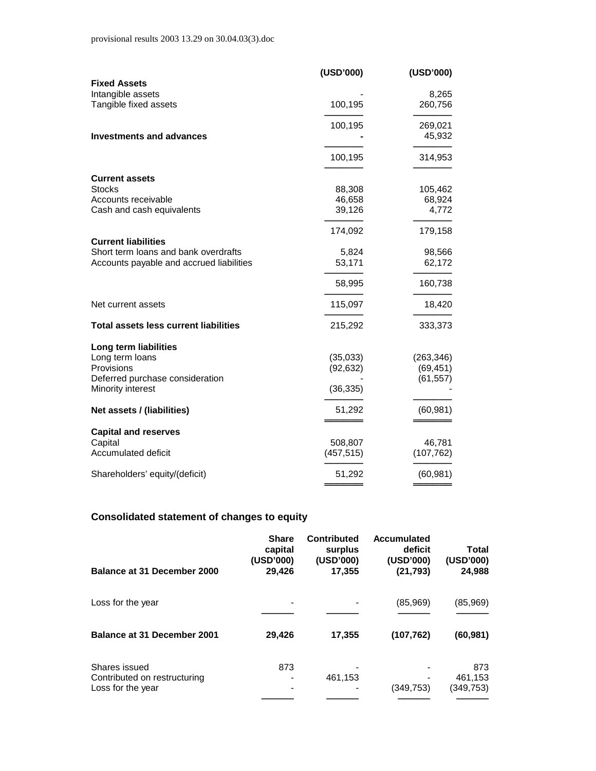|                                              | (USD'000)  | (USD'000)  |
|----------------------------------------------|------------|------------|
| <b>Fixed Assets</b>                          |            |            |
| Intangible assets                            |            | 8,265      |
| Tangible fixed assets                        | 100,195    | 260,756    |
|                                              | 100,195    | 269,021    |
| <b>Investments and advances</b>              |            | 45,932     |
|                                              | 100,195    | 314,953    |
| <b>Current assets</b>                        |            |            |
| <b>Stocks</b>                                | 88,308     | 105,462    |
| Accounts receivable                          | 46,658     | 68,924     |
| Cash and cash equivalents                    | 39,126     | 4,772      |
|                                              | 174,092    | 179,158    |
| <b>Current liabilities</b>                   |            |            |
| Short term loans and bank overdrafts         | 5,824      | 98,566     |
| Accounts payable and accrued liabilities     | 53,171     | 62,172     |
|                                              | 58,995     | 160,738    |
| Net current assets                           | 115,097    | 18,420     |
| <b>Total assets less current liabilities</b> | 215,292    | 333,373    |
| Long term liabilities                        |            |            |
| Long term loans                              | (35,033)   | (263, 346) |
| Provisions                                   | (92, 632)  | (69, 451)  |
| Deferred purchase consideration              |            | (61, 557)  |
| Minority interest                            | (36, 335)  |            |
| Net assets / (liabilities)                   | 51,292     | (60, 981)  |
|                                              |            |            |
| <b>Capital and reserves</b><br>Capital       | 508,807    | 46,781     |
| Accumulated deficit                          | (457, 515) | (107, 762) |
|                                              |            |            |
| Shareholders' equity/(deficit)               | 51,292     | (60, 981)  |
|                                              |            |            |

# **Consolidated statement of changes to equity**

| <b>Balance at 31 December 2000</b>                                 | <b>Share</b><br>capital<br>(USD'000)<br>29,426 | Contributed<br>surplus<br>(USD'000)<br>17,355 | <b>Accumulated</b><br>deficit<br>(USD'000)<br>(21, 793) | Total<br>(USD'000)<br>24,988 |
|--------------------------------------------------------------------|------------------------------------------------|-----------------------------------------------|---------------------------------------------------------|------------------------------|
| Loss for the year                                                  |                                                |                                               | (85,969)                                                | (85,969)                     |
| <b>Balance at 31 December 2001</b>                                 | 29,426                                         | 17,355                                        | (107, 762)                                              | (60, 981)                    |
| Shares issued<br>Contributed on restructuring<br>Loss for the year | 873                                            | 461,153                                       | (349, 753)                                              | 873<br>461,153<br>(349, 753) |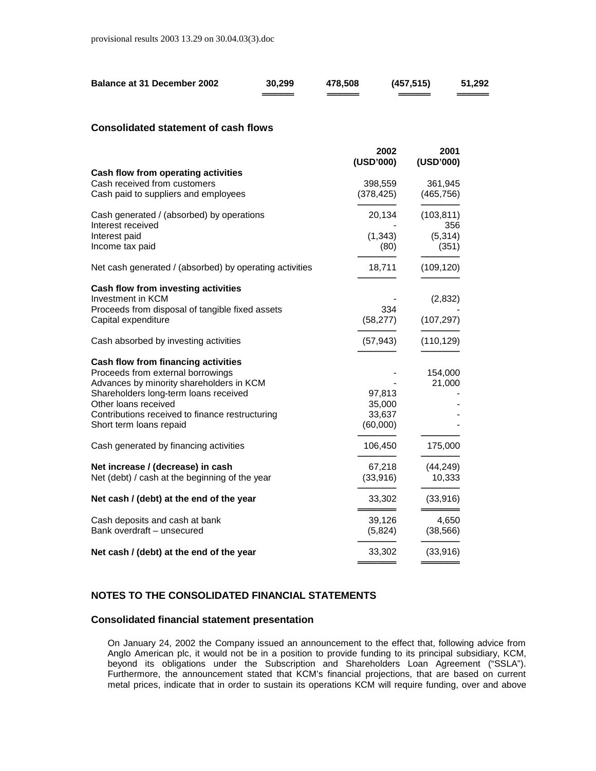| <b>Balance at 31 December 2002</b> | 30,299 | 478,508 | (457, 515) | 51,292 |
|------------------------------------|--------|---------|------------|--------|
|                                    |        |         |            |        |

## **Consolidated statement of cash flows**

|                                                                                                             | 2002<br>(USD'000)     | 2001<br>(USD'000)     |
|-------------------------------------------------------------------------------------------------------------|-----------------------|-----------------------|
| Cash flow from operating activities<br>Cash received from customers<br>Cash paid to suppliers and employees | 398,559<br>(378, 425) | 361,945<br>(465, 756) |
| Cash generated / (absorbed) by operations<br>Interest received                                              | 20,134                | (103, 811)<br>356     |
| Interest paid<br>Income tax paid                                                                            | (1, 343)<br>(80)      | (5, 314)<br>(351)     |
| Net cash generated / (absorbed) by operating activities                                                     | 18,711                | (109, 120)            |
| Cash flow from investing activities                                                                         |                       |                       |
| Investment in KCM                                                                                           |                       | (2,832)               |
| Proceeds from disposal of tangible fixed assets<br>Capital expenditure                                      | 334<br>(58, 277)      | (107, 297)            |
| Cash absorbed by investing activities                                                                       | (57, 943)             | (110, 129)            |
| <b>Cash flow from financing activities</b>                                                                  |                       |                       |
| Proceeds from external borrowings                                                                           |                       | 154,000               |
| Advances by minority shareholders in KCM                                                                    |                       | 21,000                |
| Shareholders long-term loans received                                                                       | 97,813                |                       |
| Other loans received                                                                                        | 35,000                |                       |
| Contributions received to finance restructuring                                                             | 33,637                |                       |
| Short term loans repaid                                                                                     | (60,000)              |                       |
| Cash generated by financing activities                                                                      | 106,450               | 175,000               |
| Net increase / (decrease) in cash                                                                           | 67,218                | (44, 249)             |
| Net (debt) / cash at the beginning of the year                                                              | (33, 916)             | 10,333                |
| Net cash / (debt) at the end of the year                                                                    | 33,302                | (33, 916)             |
| Cash deposits and cash at bank                                                                              | 39,126                | 4,650                 |
| Bank overdraft - unsecured                                                                                  | (5,824)               | (38, 566)             |
| Net cash / (debt) at the end of the year                                                                    | 33,302                | (33, 916)             |
|                                                                                                             |                       |                       |

## **NOTES TO THE CONSOLIDATED FINANCIAL STATEMENTS**

## **Consolidated financial statement presentation**

On January 24, 2002 the Company issued an announcement to the effect that, following advice from Anglo American plc, it would not be in a position to provide funding to its principal subsidiary, KCM, beyond its obligations under the Subscription and Shareholders Loan Agreement ("SSLA"). Furthermore, the announcement stated that KCM's financial projections, that are based on current metal prices, indicate that in order to sustain its operations KCM will require funding, over and above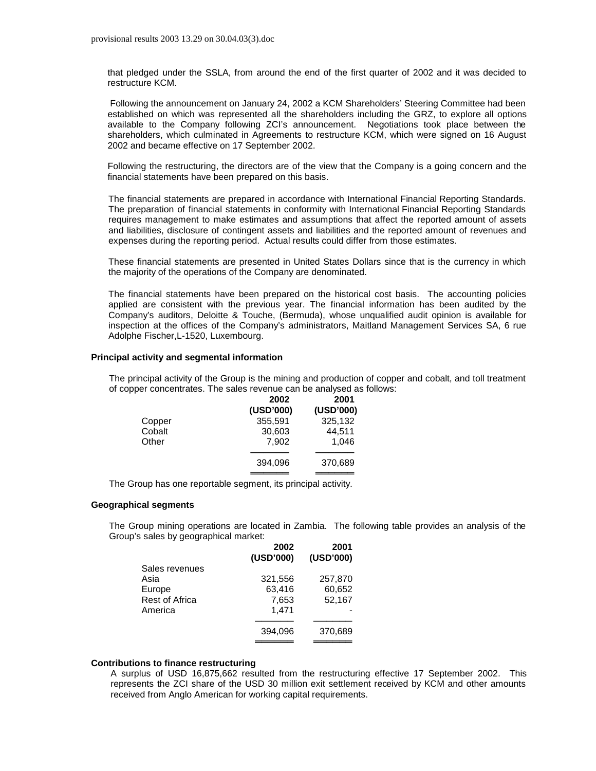that pledged under the SSLA, from around the end of the first quarter of 2002 and it was decided to restructure KCM.

 Following the announcement on January 24, 2002 a KCM Shareholders' Steering Committee had been established on which was represented all the shareholders including the GRZ, to explore all options available to the Company following ZCI's announcement. Negotiations took place between the shareholders, which culminated in Agreements to restructure KCM, which were signed on 16 August 2002 and became effective on 17 September 2002.

Following the restructuring, the directors are of the view that the Company is a going concern and the financial statements have been prepared on this basis.

The financial statements are prepared in accordance with International Financial Reporting Standards. The preparation of financial statements in conformity with International Financial Reporting Standards requires management to make estimates and assumptions that affect the reported amount of assets and liabilities, disclosure of contingent assets and liabilities and the reported amount of revenues and expenses during the reporting period. Actual results could differ from those estimates.

These financial statements are presented in United States Dollars since that is the currency in which the majority of the operations of the Company are denominated.

The financial statements have been prepared on the historical cost basis. The accounting policies applied are consistent with the previous year. The financial information has been audited by the Company's auditors, Deloitte & Touche, (Bermuda), whose unqualified audit opinion is available for inspection at the offices of the Company's administrators, Maitland Management Services SA, 6 rue Adolphe Fischer,L-1520, Luxembourg.

### **Principal activity and segmental information**

The principal activity of the Group is the mining and production of copper and cobalt, and toll treatment of copper concentrates. The sales revenue can be analysed as follows:

|        | 2002      | 2001      |
|--------|-----------|-----------|
|        | (USD'000) | (USD'000) |
| Copper | 355,591   | 325,132   |
| Cobalt | 30,603    | 44,511    |
| Other  | 7.902     | 1,046     |
|        |           |           |
|        | 394.096   | 370,689   |
|        |           |           |

The Group has one reportable segment, its principal activity.

#### **Geographical segments**

The Group mining operations are located in Zambia. The following table provides an analysis of the Group's sales by geographical market:

|                       | 2002      | 2001      |
|-----------------------|-----------|-----------|
|                       | (USD'000) | (USD'000) |
| Sales revenues        |           |           |
| Asia                  | 321,556   | 257,870   |
| Europe                | 63,416    | 60,652    |
| <b>Rest of Africa</b> | 7.653     | 52,167    |
| America               | 1.471     |           |
|                       |           |           |
|                       | 394.096   | 370,689   |
|                       |           |           |

#### **Contributions to finance restructuring**

A surplus of USD 16,875,662 resulted from the restructuring effective 17 September 2002. This represents the ZCI share of the USD 30 million exit settlement received by KCM and other amounts received from Anglo American for working capital requirements.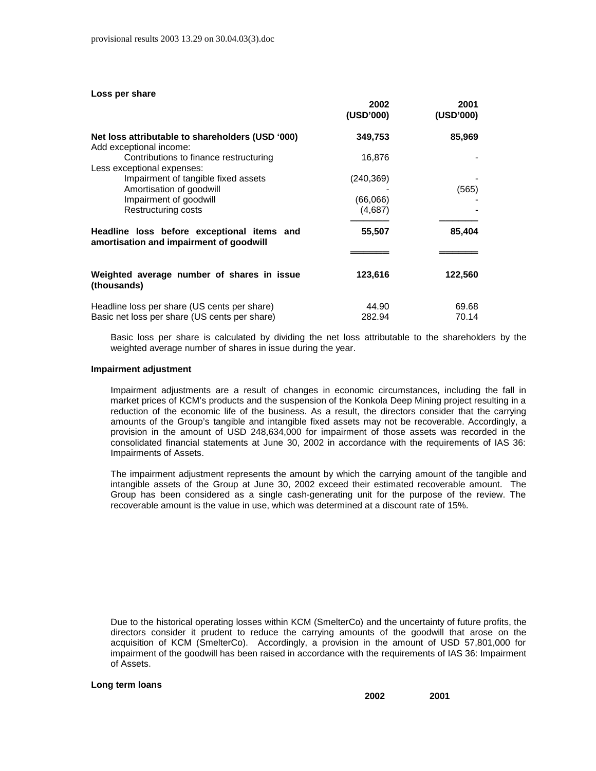| Loss per share                                                                                |                 |                |
|-----------------------------------------------------------------------------------------------|-----------------|----------------|
|                                                                                               | 2002            | 2001           |
|                                                                                               | (USD'000)       | (USD'000)      |
| Net loss attributable to shareholders (USD '000)<br>Add exceptional income:                   | 349,753         | 85,969         |
| Contributions to finance restructuring<br>Less exceptional expenses:                          | 16,876          |                |
| Impairment of tangible fixed assets                                                           | (240, 369)      |                |
| Amortisation of goodwill                                                                      |                 | (565)          |
| Impairment of goodwill                                                                        | (66,066)        |                |
| Restructuring costs                                                                           | (4,687)         |                |
| Headline loss before exceptional items and<br>amortisation and impairment of goodwill         | 55,507          | 85,404         |
|                                                                                               |                 |                |
| Weighted average number of shares in issue<br>(thousands)                                     | 123,616         | 122,560        |
| Headline loss per share (US cents per share)<br>Basic net loss per share (US cents per share) | 44.90<br>282.94 | 69.68<br>70.14 |

Basic loss per share is calculated by dividing the net loss attributable to the shareholders by the weighted average number of shares in issue during the year.

#### **Impairment adjustment**

Impairment adjustments are a result of changes in economic circumstances, including the fall in market prices of KCM's products and the suspension of the Konkola Deep Mining project resulting in a reduction of the economic life of the business. As a result, the directors consider that the carrying amounts of the Group's tangible and intangible fixed assets may not be recoverable. Accordingly, a provision in the amount of USD 248,634,000 for impairment of those assets was recorded in the consolidated financial statements at June 30, 2002 in accordance with the requirements of IAS 36: Impairments of Assets.

The impairment adjustment represents the amount by which the carrying amount of the tangible and intangible assets of the Group at June 30, 2002 exceed their estimated recoverable amount. The Group has been considered as a single cash-generating unit for the purpose of the review. The recoverable amount is the value in use, which was determined at a discount rate of 15%.

Due to the historical operating losses within KCM (SmelterCo) and the uncertainty of future profits, the directors consider it prudent to reduce the carrying amounts of the goodwill that arose on the acquisition of KCM (SmelterCo). Accordingly, a provision in the amount of USD 57,801,000 for impairment of the goodwill has been raised in accordance with the requirements of IAS 36: Impairment of Assets.

#### **Long term loans**

**2002 2001**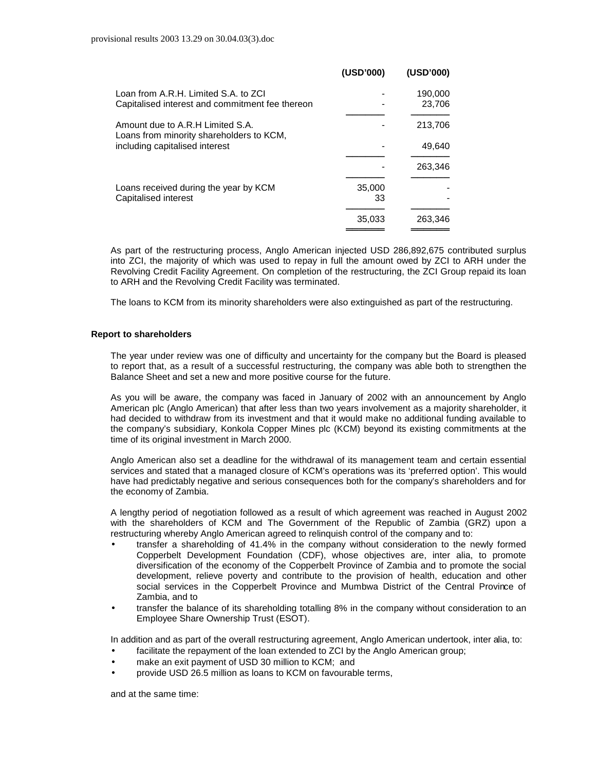|                                                                              | (USD'000) | (USD'000) |
|------------------------------------------------------------------------------|-----------|-----------|
| Loan from A.R.H. Limited S.A. to ZCI                                         |           | 190,000   |
| Capitalised interest and commitment fee thereon                              |           | 23,706    |
| Amount due to A.R.H Limited S.A.<br>Loans from minority shareholders to KCM, |           | 213,706   |
| including capitalised interest                                               |           | 49,640    |
|                                                                              |           | 263,346   |
| Loans received during the year by KCM                                        | 35,000    |           |
| Capitalised interest                                                         | 33        |           |
|                                                                              | 35,033    | 263,346   |
|                                                                              |           |           |

As part of the restructuring process, Anglo American injected USD 286,892,675 contributed surplus into ZCI, the majority of which was used to repay in full the amount owed by ZCI to ARH under the Revolving Credit Facility Agreement. On completion of the restructuring, the ZCI Group repaid its loan to ARH and the Revolving Credit Facility was terminated.

The loans to KCM from its minority shareholders were also extinguished as part of the restructuring.

### **Report to shareholders**

The year under review was one of difficulty and uncertainty for the company but the Board is pleased to report that, as a result of a successful restructuring, the company was able both to strengthen the Balance Sheet and set a new and more positive course for the future.

As you will be aware, the company was faced in January of 2002 with an announcement by Anglo American plc (Anglo American) that after less than two years involvement as a majority shareholder, it had decided to withdraw from its investment and that it would make no additional funding available to the company's subsidiary, Konkola Copper Mines plc (KCM) beyond its existing commitments at the time of its original investment in March 2000.

Anglo American also set a deadline for the withdrawal of its management team and certain essential services and stated that a managed closure of KCM's operations was its 'preferred option'. This would have had predictably negative and serious consequences both for the company's shareholders and for the economy of Zambia.

A lengthy period of negotiation followed as a result of which agreement was reached in August 2002 with the shareholders of KCM and The Government of the Republic of Zambia (GRZ) upon a restructuring whereby Anglo American agreed to relinquish control of the company and to:

- transfer a shareholding of 41.4% in the company without consideration to the newly formed Copperbelt Development Foundation (CDF), whose objectives are, inter alia, to promote diversification of the economy of the Copperbelt Province of Zambia and to promote the social development, relieve poverty and contribute to the provision of health, education and other social services in the Copperbelt Province and Mumbwa District of the Central Province of Zambia, and to
- transfer the balance of its shareholding totalling 8% in the company without consideration to an Employee Share Ownership Trust (ESOT).

In addition and as part of the overall restructuring agreement, Anglo American undertook, inter alia, to:

- facilitate the repayment of the loan extended to ZCI by the Anglo American group;
- make an exit payment of USD 30 million to KCM; and
- provide USD 26.5 million as loans to KCM on favourable terms,

and at the same time: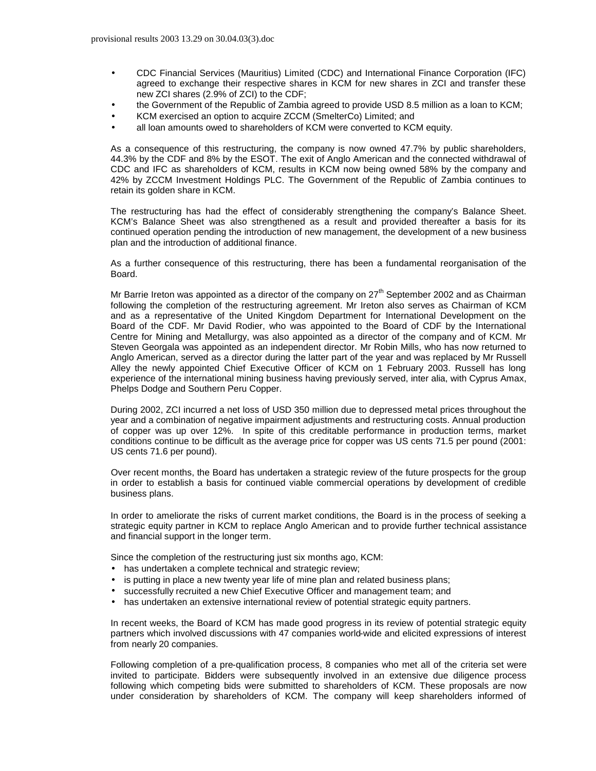- CDC Financial Services (Mauritius) Limited (CDC) and International Finance Corporation (IFC) agreed to exchange their respective shares in KCM for new shares in ZCI and transfer these new ZCI shares (2.9% of ZCI) to the CDF;
- the Government of the Republic of Zambia agreed to provide USD 8.5 million as a loan to KCM;
- KCM exercised an option to acquire ZCCM (SmelterCo) Limited; and
- all loan amounts owed to shareholders of KCM were converted to KCM equity.

As a consequence of this restructuring, the company is now owned 47.7% by public shareholders, 44.3% by the CDF and 8% by the ESOT. The exit of Anglo American and the connected withdrawal of CDC and IFC as shareholders of KCM, results in KCM now being owned 58% by the company and 42% by ZCCM Investment Holdings PLC. The Government of the Republic of Zambia continues to retain its golden share in KCM.

The restructuring has had the effect of considerably strengthening the company's Balance Sheet. KCM's Balance Sheet was also strengthened as a result and provided thereafter a basis for its continued operation pending the introduction of new management, the development of a new business plan and the introduction of additional finance.

As a further consequence of this restructuring, there has been a fundamental reorganisation of the Board.

Mr Barrie Ireton was appointed as a director of the company on  $27<sup>th</sup>$  September 2002 and as Chairman following the completion of the restructuring agreement. Mr Ireton also serves as Chairman of KCM and as a representative of the United Kingdom Department for International Development on the Board of the CDF. Mr David Rodier, who was appointed to the Board of CDF by the International Centre for Mining and Metallurgy, was also appointed as a director of the company and of KCM. Mr Steven Georgala was appointed as an independent director. Mr Robin Mills, who has now returned to Anglo American, served as a director during the latter part of the year and was replaced by Mr Russell Alley the newly appointed Chief Executive Officer of KCM on 1 February 2003. Russell has long experience of the international mining business having previously served, inter alia, with Cyprus Amax, Phelps Dodge and Southern Peru Copper.

During 2002, ZCI incurred a net loss of USD 350 million due to depressed metal prices throughout the year and a combination of negative impairment adjustments and restructuring costs. Annual production of copper was up over 12%. In spite of this creditable performance in production terms, market conditions continue to be difficult as the average price for copper was US cents 71.5 per pound (2001: US cents 71.6 per pound).

Over recent months, the Board has undertaken a strategic review of the future prospects for the group in order to establish a basis for continued viable commercial operations by development of credible business plans.

In order to ameliorate the risks of current market conditions, the Board is in the process of seeking a strategic equity partner in KCM to replace Anglo American and to provide further technical assistance and financial support in the longer term.

Since the completion of the restructuring just six months ago, KCM:

- has undertaken a complete technical and strategic review;
- is putting in place a new twenty year life of mine plan and related business plans;
- successfully recruited a new Chief Executive Officer and management team; and
- has undertaken an extensive international review of potential strategic equity partners.

In recent weeks, the Board of KCM has made good progress in its review of potential strategic equity partners which involved discussions with 47 companies world-wide and elicited expressions of interest from nearly 20 companies.

Following completion of a pre-qualification process, 8 companies who met all of the criteria set were invited to participate. Bidders were subsequently involved in an extensive due diligence process following which competing bids were submitted to shareholders of KCM. These proposals are now under consideration by shareholders of KCM. The company will keep shareholders informed of